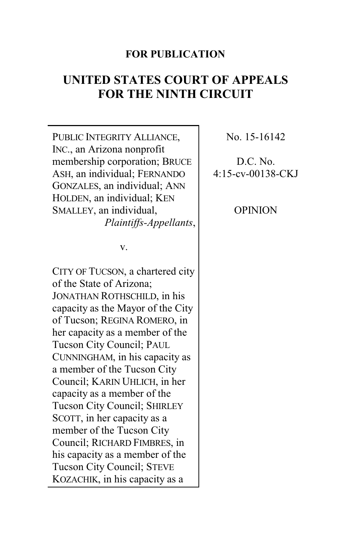## **FOR PUBLICATION**

# **UNITED STATES COURT OF APPEALS FOR THE NINTH CIRCUIT**

PUBLIC INTEGRITY ALLIANCE, INC., an Arizona nonprofit membership corporation; BRUCE ASH, an individual; FERNANDO GONZALES, an individual; ANN HOLDEN, an individual; KEN SMALLEY, an individual, *Plaintiffs-Appellants*,

v.

CITY OF TUCSON, a chartered city of the State of Arizona; JONATHAN ROTHSCHILD, in his capacity as the Mayor of the City of Tucson; REGINA ROMERO, in her capacity as a member of the Tucson City Council; PAUL CUNNINGHAM, in his capacity as a member of the Tucson City Council; KARIN UHLICH, in her capacity as a member of the Tucson City Council; SHIRLEY SCOTT, in her capacity as a member of the Tucson City Council; RICHARD FIMBRES, in his capacity as a member of the Tucson City Council; STEVE KOZACHIK, in his capacity as a

No. 15-16142

## D.C. No. 4:15-cv-00138-CKJ

OPINION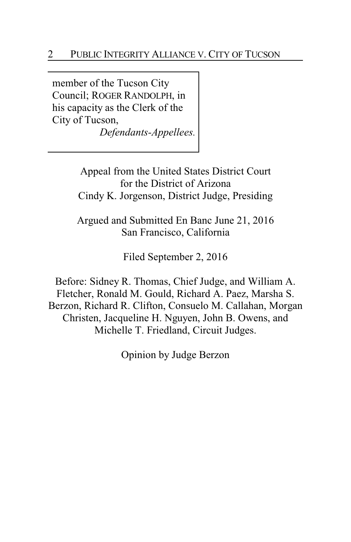member of the Tucson City Council; ROGER RANDOLPH, in his capacity as the Clerk of the City of Tucson,

*Defendants-Appellees.*

Appeal from the United States District Court for the District of Arizona Cindy K. Jorgenson, District Judge, Presiding

Argued and Submitted En Banc June 21, 2016 San Francisco, California

Filed September 2, 2016

Before: Sidney R. Thomas, Chief Judge, and William A. Fletcher, Ronald M. Gould, Richard A. Paez, Marsha S. Berzon, Richard R. Clifton, Consuelo M. Callahan, Morgan Christen, Jacqueline H. Nguyen, John B. Owens, and Michelle T. Friedland, Circuit Judges.

Opinion by Judge Berzon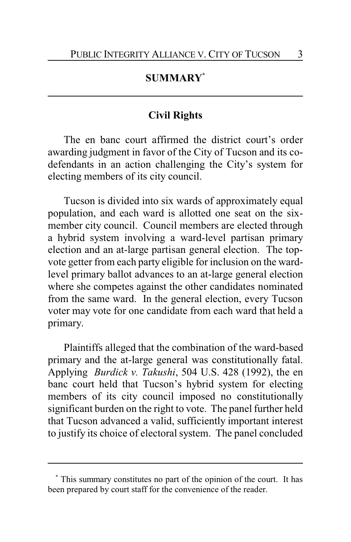## **SUMMARY\***

## **Civil Rights**

The en banc court affirmed the district court's order awarding judgment in favor of the City of Tucson and its codefendants in an action challenging the City's system for electing members of its city council.

Tucson is divided into six wards of approximately equal population, and each ward is allotted one seat on the sixmember city council. Council members are elected through a hybrid system involving a ward-level partisan primary election and an at-large partisan general election. The topvote getter from each party eligible for inclusion on the wardlevel primary ballot advances to an at-large general election where she competes against the other candidates nominated from the same ward. In the general election, every Tucson voter may vote for one candidate from each ward that held a primary.

Plaintiffs alleged that the combination of the ward-based primary and the at-large general was constitutionally fatal. Applying *Burdick v. Takushi*, 504 U.S. 428 (1992), the en banc court held that Tucson's hybrid system for electing members of its city council imposed no constitutionally significant burden on the right to vote. The panel further held that Tucson advanced a valid, sufficiently important interest to justify its choice of electoral system. The panel concluded

**<sup>\*</sup>** This summary constitutes no part of the opinion of the court. It has been prepared by court staff for the convenience of the reader.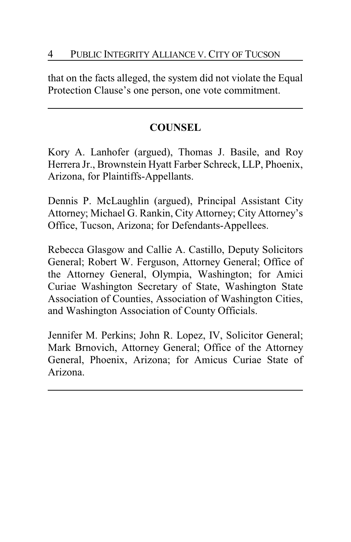that on the facts alleged, the system did not violate the Equal Protection Clause's one person, one vote commitment.

## **COUNSEL**

Kory A. Lanhofer (argued), Thomas J. Basile, and Roy Herrera Jr., Brownstein Hyatt Farber Schreck, LLP, Phoenix, Arizona, for Plaintiffs-Appellants.

Dennis P. McLaughlin (argued), Principal Assistant City Attorney; Michael G. Rankin, City Attorney; City Attorney's Office, Tucson, Arizona; for Defendants-Appellees.

Rebecca Glasgow and Callie A. Castillo, Deputy Solicitors General; Robert W. Ferguson, Attorney General; Office of the Attorney General, Olympia, Washington; for Amici Curiae Washington Secretary of State, Washington State Association of Counties, Association of Washington Cities, and Washington Association of County Officials.

Jennifer M. Perkins; John R. Lopez, IV, Solicitor General; Mark Brnovich, Attorney General; Office of the Attorney General, Phoenix, Arizona; for Amicus Curiae State of Arizona.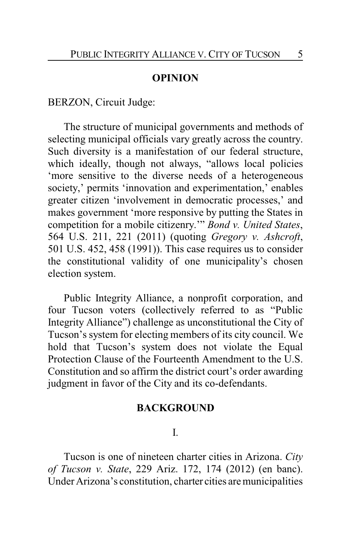#### **OPINION**

BERZON, Circuit Judge:

The structure of municipal governments and methods of selecting municipal officials vary greatly across the country. Such diversity is a manifestation of our federal structure, which ideally, though not always, "allows local policies 'more sensitive to the diverse needs of a heterogeneous society,' permits 'innovation and experimentation,' enables greater citizen 'involvement in democratic processes,' and makes government 'more responsive by putting the States in competition for a mobile citizenry.'" *Bond v. United States*, 564 U.S. 211, 221 (2011) (quoting *Gregory v. Ashcroft*, 501 U.S. 452, 458 (1991)). This case requires us to consider the constitutional validity of one municipality's chosen election system.

Public Integrity Alliance, a nonprofit corporation, and four Tucson voters (collectively referred to as "Public Integrity Alliance") challenge as unconstitutional the City of Tucson's system for electing members of its city council. We hold that Tucson's system does not violate the Equal Protection Clause of the Fourteenth Amendment to the U.S. Constitution and so affirm the district court's order awarding judgment in favor of the City and its co-defendants.

#### **BACKGROUND**

I.

Tucson is one of nineteen charter cities in Arizona. *City of Tucson v. State*, 229 Ariz. 172, 174 (2012) (en banc). Under Arizona's constitution, charter cities are municipalities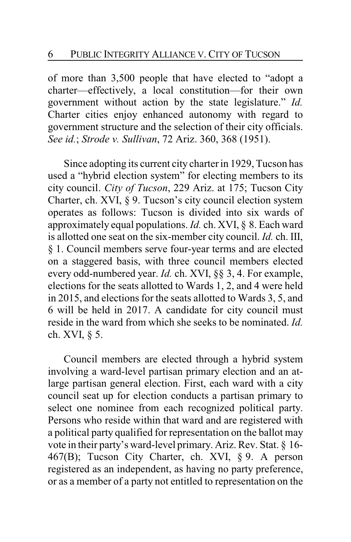of more than 3,500 people that have elected to "adopt a charter—effectively, a local constitution—for their own government without action by the state legislature." *Id.* Charter cities enjoy enhanced autonomy with regard to government structure and the selection of their city officials. *See id.*; *Strode v. Sullivan*, 72 Ariz. 360, 368 (1951).

Since adopting its current city charter in 1929, Tucson has used a "hybrid election system" for electing members to its city council. *City of Tucson*, 229 Ariz. at 175; Tucson City Charter, ch. XVI, § 9. Tucson's city council election system operates as follows: Tucson is divided into six wards of approximately equal populations. *Id.* ch. XVI, § 8. Each ward is allotted one seat on the six-member city council. *Id.* ch. III, § 1. Council members serve four-year terms and are elected on a staggered basis, with three council members elected every odd-numbered year. *Id.* ch. XVI, §§ 3, 4. For example, elections for the seats allotted to Wards 1, 2, and 4 were held in 2015, and elections for the seats allotted to Wards 3, 5, and 6 will be held in 2017. A candidate for city council must reside in the ward from which she seeks to be nominated. *Id.* ch. XVI, § 5.

Council members are elected through a hybrid system involving a ward-level partisan primary election and an atlarge partisan general election. First, each ward with a city council seat up for election conducts a partisan primary to select one nominee from each recognized political party. Persons who reside within that ward and are registered with a political party qualified for representation on the ballot may vote in their party's ward-level primary. Ariz. Rev. Stat. § 16- 467(B); Tucson City Charter, ch. XVI, § 9. A person registered as an independent, as having no party preference, or as a member of a party not entitled to representation on the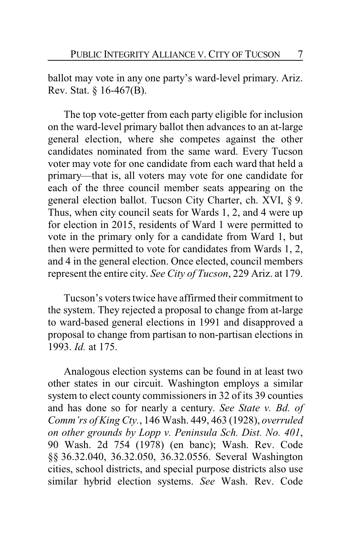ballot may vote in any one party's ward-level primary. Ariz. Rev. Stat. § 16-467(B).

The top vote-getter from each party eligible for inclusion on the ward-level primary ballot then advances to an at-large general election, where she competes against the other candidates nominated from the same ward. Every Tucson voter may vote for one candidate from each ward that held a primary—that is, all voters may vote for one candidate for each of the three council member seats appearing on the general election ballot. Tucson City Charter, ch. XVI, § 9. Thus, when city council seats for Wards 1, 2, and 4 were up for election in 2015, residents of Ward 1 were permitted to vote in the primary only for a candidate from Ward 1, but then were permitted to vote for candidates from Wards 1, 2, and 4 in the general election. Once elected, council members represent the entire city. *See City of Tucson*, 229 Ariz. at 179.

Tucson's voters twice have affirmed their commitment to the system. They rejected a proposal to change from at-large to ward-based general elections in 1991 and disapproved a proposal to change from partisan to non-partisan elections in 1993. *Id.* at 175.

Analogous election systems can be found in at least two other states in our circuit. Washington employs a similar system to elect county commissioners in 32 of its 39 counties and has done so for nearly a century. *See State v. Bd. of Comm'rs of King Cty.*, 146 Wash. 449, 463 (1928), *overruled on other grounds by Lopp v. Peninsula Sch. Dist. No. 401*, 90 Wash. 2d 754 (1978) (en banc); Wash. Rev. Code §§ 36.32.040, 36.32.050, 36.32.0556. Several Washington cities, school districts, and special purpose districts also use similar hybrid election systems. *See* Wash. Rev. Code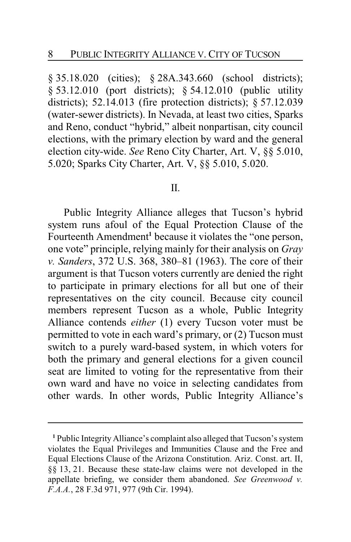§ 35.18.020 (cities); § 28A.343.660 (school districts); § 53.12.010 (port districts); § 54.12.010 (public utility districts); 52.14.013 (fire protection districts); § 57.12.039 (water-sewer districts). In Nevada, at least two cities, Sparks and Reno, conduct "hybrid," albeit nonpartisan, city council elections, with the primary election by ward and the general election city-wide. *See* Reno City Charter, Art. V, §§ 5.010, 5.020; Sparks City Charter, Art. V, §§ 5.010, 5.020.

#### II.

Public Integrity Alliance alleges that Tucson's hybrid system runs afoul of the Equal Protection Clause of the Fourteenth Amendment**<sup>1</sup>** because it violates the "one person, one vote" principle, relying mainly for their analysis on *Gray v. Sanders*, 372 U.S. 368, 380–81 (1963). The core of their argument is that Tucson voters currently are denied the right to participate in primary elections for all but one of their representatives on the city council. Because city council members represent Tucson as a whole, Public Integrity Alliance contends *either* (1) every Tucson voter must be permitted to vote in each ward's primary, or (2) Tucson must switch to a purely ward-based system, in which voters for both the primary and general elections for a given council seat are limited to voting for the representative from their own ward and have no voice in selecting candidates from other wards. In other words, Public Integrity Alliance's

**<sup>1</sup>** Public Integrity Alliance's complaint also alleged that Tucson's system violates the Equal Privileges and Immunities Clause and the Free and Equal Elections Clause of the Arizona Constitution. Ariz. Const. art. II, §§ 13, 21. Because these state-law claims were not developed in the appellate briefing, we consider them abandoned. *See Greenwood v. F.A.A.*, 28 F.3d 971, 977 (9th Cir. 1994).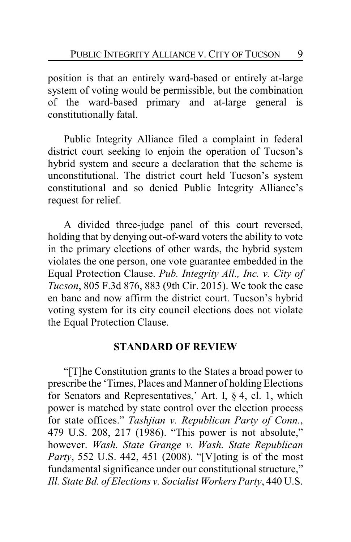position is that an entirely ward-based or entirely at-large system of voting would be permissible, but the combination of the ward-based primary and at-large general is constitutionally fatal.

Public Integrity Alliance filed a complaint in federal district court seeking to enjoin the operation of Tucson's hybrid system and secure a declaration that the scheme is unconstitutional. The district court held Tucson's system constitutional and so denied Public Integrity Alliance's request for relief.

A divided three-judge panel of this court reversed, holding that by denying out-of-ward voters the ability to vote in the primary elections of other wards, the hybrid system violates the one person, one vote guarantee embedded in the Equal Protection Clause. *Pub. Integrity All., Inc. v. City of Tucson*, 805 F.3d 876, 883 (9th Cir. 2015). We took the case en banc and now affirm the district court. Tucson's hybrid voting system for its city council elections does not violate the Equal Protection Clause.

#### **STANDARD OF REVIEW**

"[T]he Constitution grants to the States a broad power to prescribe the 'Times, Places and Manner of holding Elections for Senators and Representatives,' Art. I, § 4, cl. 1, which power is matched by state control over the election process for state offices." *Tashjian v. Republican Party of Conn.*, 479 U.S. 208, 217 (1986). "This power is not absolute," however. *Wash. State Grange v. Wash. State Republican Party*, 552 U.S. 442, 451 (2008). "[V]oting is of the most fundamental significance under our constitutional structure," *Ill. State Bd. of Elections v. Socialist Workers Party*, 440 U.S.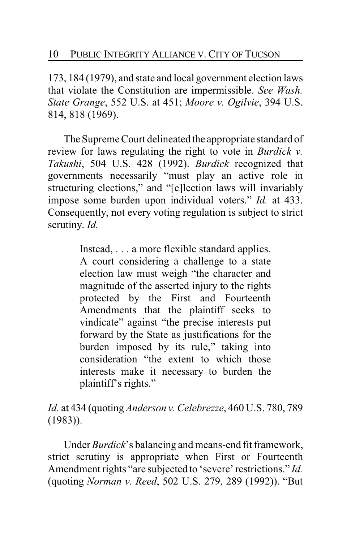173, 184 (1979), and state and local government election laws that violate the Constitution are impermissible. *See Wash. State Grange*, 552 U.S. at 451; *Moore v. Ogilvie*, 394 U.S. 814, 818 (1969).

The Supreme Court delineated the appropriate standard of review for laws regulating the right to vote in *Burdick v. Takushi*, 504 U.S. 428 (1992). *Burdick* recognized that governments necessarily "must play an active role in structuring elections," and "[e]lection laws will invariably impose some burden upon individual voters." *Id.* at 433. Consequently, not every voting regulation is subject to strict scrutiny. *Id.*

> Instead, . . . a more flexible standard applies. A court considering a challenge to a state election law must weigh "the character and magnitude of the asserted injury to the rights protected by the First and Fourteenth Amendments that the plaintiff seeks to vindicate" against "the precise interests put forward by the State as justifications for the burden imposed by its rule," taking into consideration "the extent to which those interests make it necessary to burden the plaintiff's rights."

*Id.* at 434 (quoting *Anderson v. Celebrezze*, 460 U.S. 780, 789 (1983)).

Under *Burdick*'s balancing and means-end fit framework, strict scrutiny is appropriate when First or Fourteenth Amendment rights "are subjected to 'severe' restrictions." *Id.* (quoting *Norman v. Reed*, 502 U.S. 279, 289 (1992)). "But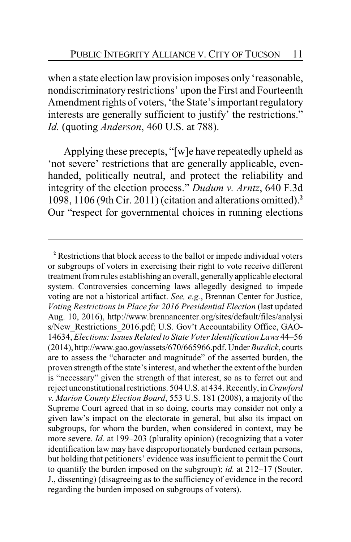when a state election law provision imposes only 'reasonable, nondiscriminatory restrictions' upon the First and Fourteenth Amendment rights of voters, 'the State's important regulatory interests are generally sufficient to justify' the restrictions." *Id.* (quoting *Anderson*, 460 U.S. at 788).

Applying these precepts, "[w]e have repeatedly upheld as 'not severe' restrictions that are generally applicable, evenhanded, politically neutral, and protect the reliability and integrity of the election process." *Dudum v. Arntz*, 640 F.3d 1098, 1106 (9th Cir. 2011) (citation and alterations omitted).**<sup>2</sup>** Our "respect for governmental choices in running elections

**<sup>2</sup>** Restrictions that block access to the ballot or impede individual voters or subgroups of voters in exercising their right to vote receive different treatment fromrules establishing an overall, generally applicable electoral system. Controversies concerning laws allegedly designed to impede voting are not a historical artifact. *See, e.g.*, Brennan Center for Justice, *Voting Restrictions in Place for 2016 Presidential Election* (last updated Aug. 10, 2016), http://www.brennancenter.org/sites/default/files/analysi s/New Restrictions 2016.pdf; U.S. Gov't Accountability Office, GAO-14634, *Elections: Issues Related to State Voter Identification Laws* 44–56 (2014), http://www.gao.gov/assets/670/665966.pdf. Under*Burdick*, courts are to assess the "character and magnitude" of the asserted burden, the proven strength of the state's interest, and whether the extent of the burden is "necessary" given the strength of that interest, so as to ferret out and reject unconstitutional restrictions. 504 U.S. at 434. Recently, in*Crawford v. Marion County Election Board*, 553 U.S. 181 (2008), a majority of the Supreme Court agreed that in so doing, courts may consider not only a given law's impact on the electorate in general, but also its impact on subgroups, for whom the burden, when considered in context, may be more severe. *Id.* at 199–203 (plurality opinion) (recognizing that a voter identification law may have disproportionately burdened certain persons, but holding that petitioners' evidence was insufficient to permit the Court to quantify the burden imposed on the subgroup); *id.* at 212–17 (Souter, J., dissenting) (disagreeing as to the sufficiency of evidence in the record regarding the burden imposed on subgroups of voters).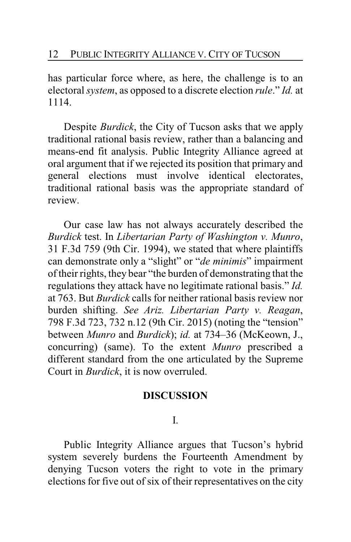has particular force where, as here, the challenge is to an electoral *system*, as opposed to a discrete election *rule*." *Id.* at 1114.

Despite *Burdick*, the City of Tucson asks that we apply traditional rational basis review, rather than a balancing and means-end fit analysis. Public Integrity Alliance agreed at oral argument that if we rejected its position that primary and general elections must involve identical electorates, traditional rational basis was the appropriate standard of review.

Our case law has not always accurately described the *Burdick* test. In *Libertarian Party of Washington v. Munro*, 31 F.3d 759 (9th Cir. 1994), we stated that where plaintiffs can demonstrate only a "slight" or "*de minimis*" impairment of their rights, they bear "the burden of demonstrating that the regulations they attack have no legitimate rational basis." *Id.* at 763. But *Burdick* calls for neither rational basis review nor burden shifting. *See Ariz. Libertarian Party v. Reagan*, 798 F.3d 723, 732 n.12 (9th Cir. 2015) (noting the "tension" between *Munro* and *Burdick*); *id.* at 734–36 (McKeown, J., concurring) (same). To the extent *Munro* prescribed a different standard from the one articulated by the Supreme Court in *Burdick*, it is now overruled.

## **DISCUSSION**

I.

Public Integrity Alliance argues that Tucson's hybrid system severely burdens the Fourteenth Amendment by denying Tucson voters the right to vote in the primary elections for five out of six of their representatives on the city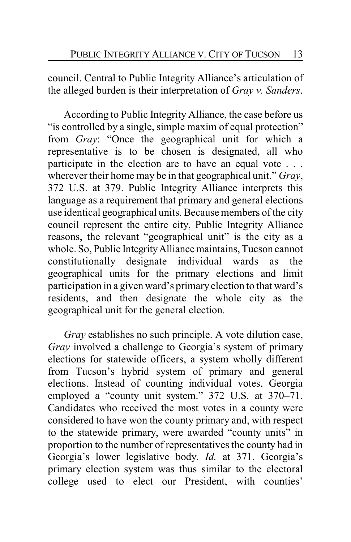council. Central to Public Integrity Alliance's articulation of the alleged burden is their interpretation of *Gray v. Sanders*.

According to Public Integrity Alliance, the case before us "is controlled by a single, simple maxim of equal protection" from *Gray*: "Once the geographical unit for which a representative is to be chosen is designated, all who participate in the election are to have an equal vote . . . wherever their home may be in that geographical unit." *Gray*, 372 U.S. at 379. Public Integrity Alliance interprets this language as a requirement that primary and general elections use identical geographical units. Because members of the city council represent the entire city, Public Integrity Alliance reasons, the relevant "geographical unit" is the city as a whole. So, Public Integrity Alliance maintains, Tucson cannot constitutionally designate individual wards as the geographical units for the primary elections and limit participation in a given ward's primary election to that ward's residents, and then designate the whole city as the geographical unit for the general election.

*Gray* establishes no such principle. A vote dilution case, *Gray* involved a challenge to Georgia's system of primary elections for statewide officers, a system wholly different from Tucson's hybrid system of primary and general elections. Instead of counting individual votes, Georgia employed a "county unit system." 372 U.S. at 370–71. Candidates who received the most votes in a county were considered to have won the county primary and, with respect to the statewide primary, were awarded "county units" in proportion to the number of representatives the county had in Georgia's lower legislative body. *Id.* at 371. Georgia's primary election system was thus similar to the electoral college used to elect our President, with counties'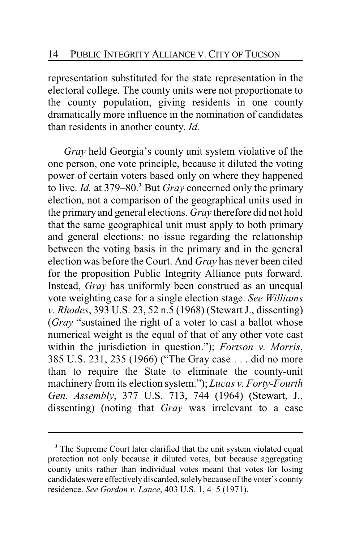representation substituted for the state representation in the electoral college. The county units were not proportionate to the county population, giving residents in one county dramatically more influence in the nomination of candidates than residents in another county. *Id.*

*Gray* held Georgia's county unit system violative of the one person, one vote principle, because it diluted the voting power of certain voters based only on where they happened to live. *Id.* at 379–80.**<sup>3</sup>** But *Gray* concerned only the primary election, not a comparison of the geographical units used in the primary and general elections. *Gray* therefore did not hold that the same geographical unit must apply to both primary and general elections; no issue regarding the relationship between the voting basis in the primary and in the general election was before the Court. And *Gray* has never been cited for the proposition Public Integrity Alliance puts forward. Instead, *Gray* has uniformly been construed as an unequal vote weighting case for a single election stage. *See Williams v. Rhodes*, 393 U.S. 23, 52 n.5 (1968) (Stewart J., dissenting) (*Gray* "sustained the right of a voter to cast a ballot whose numerical weight is the equal of that of any other vote cast within the jurisdiction in question."); *Fortson v. Morris*, 385 U.S. 231, 235 (1966) ("The Gray case . . . did no more than to require the State to eliminate the county-unit machinery from its election system."); *Lucas v. Forty-Fourth Gen. Assembly*, 377 U.S. 713, 744 (1964) (Stewart, J., dissenting) (noting that *Gray* was irrelevant to a case

**<sup>3</sup>** The Supreme Court later clarified that the unit system violated equal protection not only because it diluted votes, but because aggregating county units rather than individual votes meant that votes for losing candidates were effectively discarded, solely because of the voter's county residence. *See Gordon v. Lance*, 403 U.S. 1, 4–5 (1971).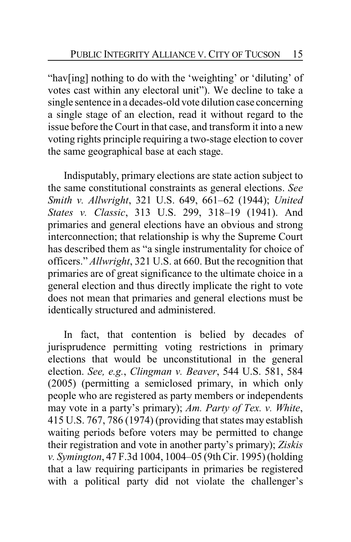"hav[ing] nothing to do with the 'weighting' or 'diluting' of votes cast within any electoral unit"). We decline to take a single sentence in a decades-old vote dilution case concerning a single stage of an election, read it without regard to the issue before the Court in that case, and transform it into a new voting rights principle requiring a two-stage election to cover the same geographical base at each stage.

Indisputably, primary elections are state action subject to the same constitutional constraints as general elections. *See Smith v. Allwright*, 321 U.S. 649, 661–62 (1944); *United States v. Classic*, 313 U.S. 299, 318–19 (1941). And primaries and general elections have an obvious and strong interconnection; that relationship is why the Supreme Court has described them as "a single instrumentality for choice of officers." *Allwright*, 321 U.S. at 660. But the recognition that primaries are of great significance to the ultimate choice in a general election and thus directly implicate the right to vote does not mean that primaries and general elections must be identically structured and administered.

In fact, that contention is belied by decades of jurisprudence permitting voting restrictions in primary elections that would be unconstitutional in the general election. *See, e.g.*, *Clingman v. Beaver*, 544 U.S. 581, 584 (2005) (permitting a semiclosed primary, in which only people who are registered as party members or independents may vote in a party's primary); *Am. Party of Tex. v. White*, 415 U.S. 767, 786 (1974) (providing that states may establish waiting periods before voters may be permitted to change their registration and vote in another party's primary); *Ziskis v. Symington*, 47 F.3d 1004, 1004–05 (9th Cir. 1995) (holding that a law requiring participants in primaries be registered with a political party did not violate the challenger's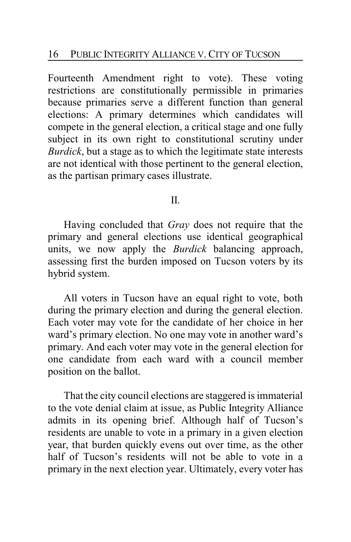Fourteenth Amendment right to vote). These voting restrictions are constitutionally permissible in primaries because primaries serve a different function than general elections: A primary determines which candidates will compete in the general election, a critical stage and one fully subject in its own right to constitutional scrutiny under *Burdick*, but a stage as to which the legitimate state interests are not identical with those pertinent to the general election, as the partisan primary cases illustrate.

II.

Having concluded that *Gray* does not require that the primary and general elections use identical geographical units, we now apply the *Burdick* balancing approach, assessing first the burden imposed on Tucson voters by its hybrid system.

All voters in Tucson have an equal right to vote, both during the primary election and during the general election. Each voter may vote for the candidate of her choice in her ward's primary election. No one may vote in another ward's primary. And each voter may vote in the general election for one candidate from each ward with a council member position on the ballot.

That the city council elections are staggered is immaterial to the vote denial claim at issue, as Public Integrity Alliance admits in its opening brief. Although half of Tucson's residents are unable to vote in a primary in a given election year, that burden quickly evens out over time, as the other half of Tucson's residents will not be able to vote in a primary in the next election year. Ultimately, every voter has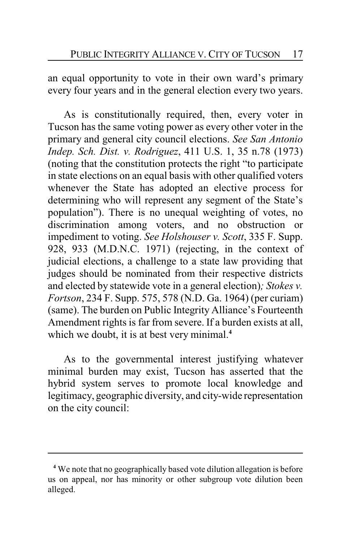an equal opportunity to vote in their own ward's primary every four years and in the general election every two years.

As is constitutionally required, then, every voter in Tucson has the same voting power as every other voter in the primary and general city council elections. *See San Antonio Indep. Sch. Dist. v. Rodriguez*, 411 U.S. 1, 35 n.78 (1973) (noting that the constitution protects the right "to participate in state elections on an equal basis with other qualified voters whenever the State has adopted an elective process for determining who will represent any segment of the State's population"). There is no unequal weighting of votes, no discrimination among voters, and no obstruction or impediment to voting. *See Holshouser v. Scott*, 335 F. Supp. 928, 933 (M.D.N.C. 1971) (rejecting, in the context of judicial elections, a challenge to a state law providing that judges should be nominated from their respective districts and elected by statewide vote in a general election)*; Stokes v. Fortson*, 234 F. Supp. 575, 578 (N.D. Ga. 1964) (per curiam) (same). The burden on Public Integrity Alliance's Fourteenth Amendment rights is far from severe. If a burden exists at all, which we doubt, it is at best very minimal.<sup>4</sup>

As to the governmental interest justifying whatever minimal burden may exist, Tucson has asserted that the hybrid system serves to promote local knowledge and legitimacy, geographic diversity, and city-wide representation on the city council:

**<sup>4</sup>** We note that no geographically based vote dilution allegation is before us on appeal, nor has minority or other subgroup vote dilution been alleged.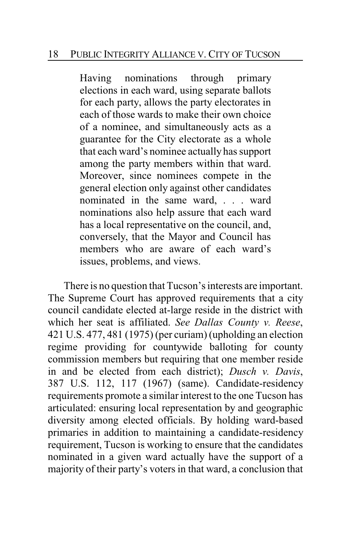## 18 PUBLIC INTEGRITY ALLIANCE V. CITY OF TUCSON

Having nominations through primary elections in each ward, using separate ballots for each party, allows the party electorates in each of those wards to make their own choice of a nominee, and simultaneously acts as a guarantee for the City electorate as a whole that each ward's nominee actually has support among the party members within that ward. Moreover, since nominees compete in the general election only against other candidates nominated in the same ward, . . . ward nominations also help assure that each ward has a local representative on the council, and, conversely, that the Mayor and Council has members who are aware of each ward's issues, problems, and views.

There is no question that Tucson's interests are important. The Supreme Court has approved requirements that a city council candidate elected at-large reside in the district with which her seat is affiliated. *See Dallas County v. Reese*, 421 U.S. 477, 481 (1975) (per curiam) (upholding an election regime providing for countywide balloting for county commission members but requiring that one member reside in and be elected from each district); *Dusch v. Davis*, 387 U.S. 112, 117 (1967) (same). Candidate-residency requirements promote a similar interest to the one Tucson has articulated: ensuring local representation by and geographic diversity among elected officials. By holding ward-based primaries in addition to maintaining a candidate-residency requirement, Tucson is working to ensure that the candidates nominated in a given ward actually have the support of a majority of their party's voters in that ward, a conclusion that